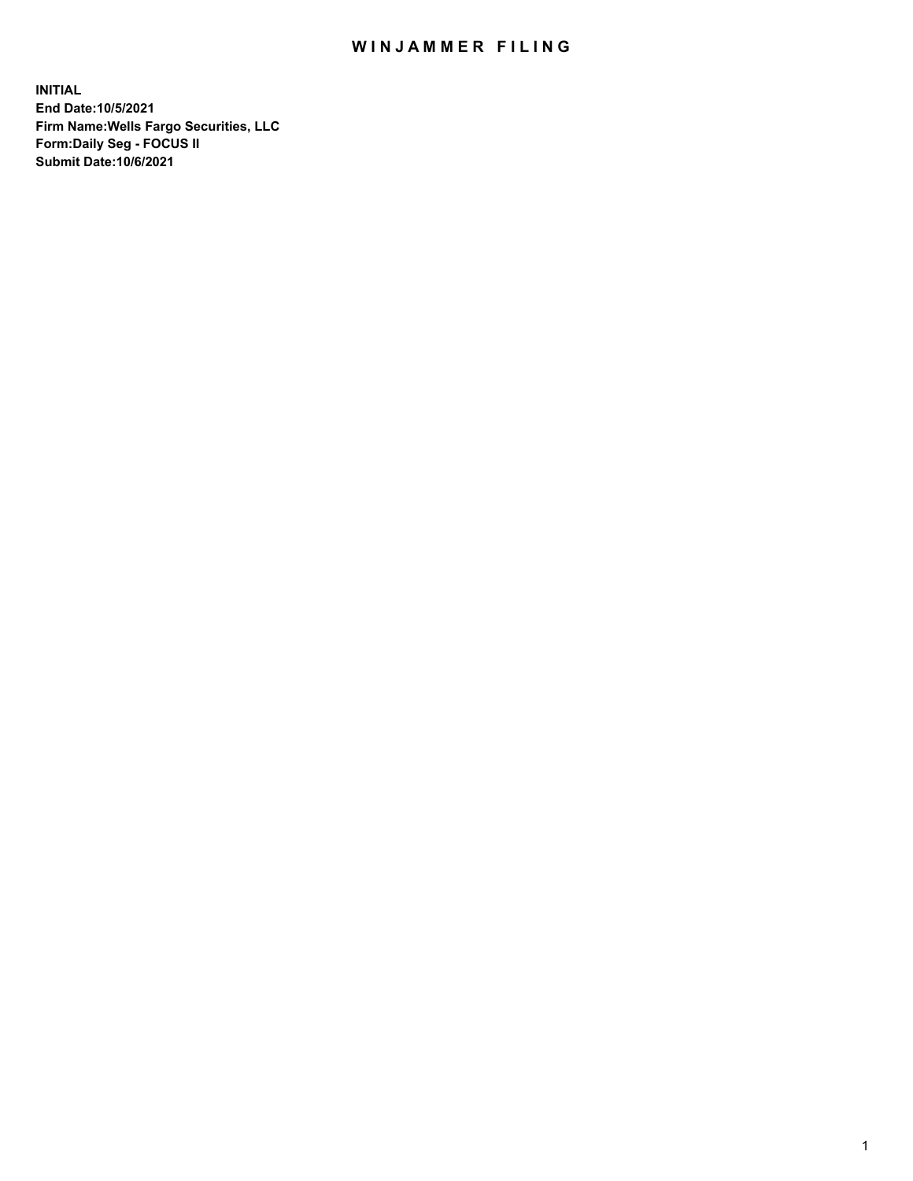## WIN JAMMER FILING

**INITIAL End Date:10/5/2021 Firm Name:Wells Fargo Securities, LLC Form:Daily Seg - FOCUS II Submit Date:10/6/2021**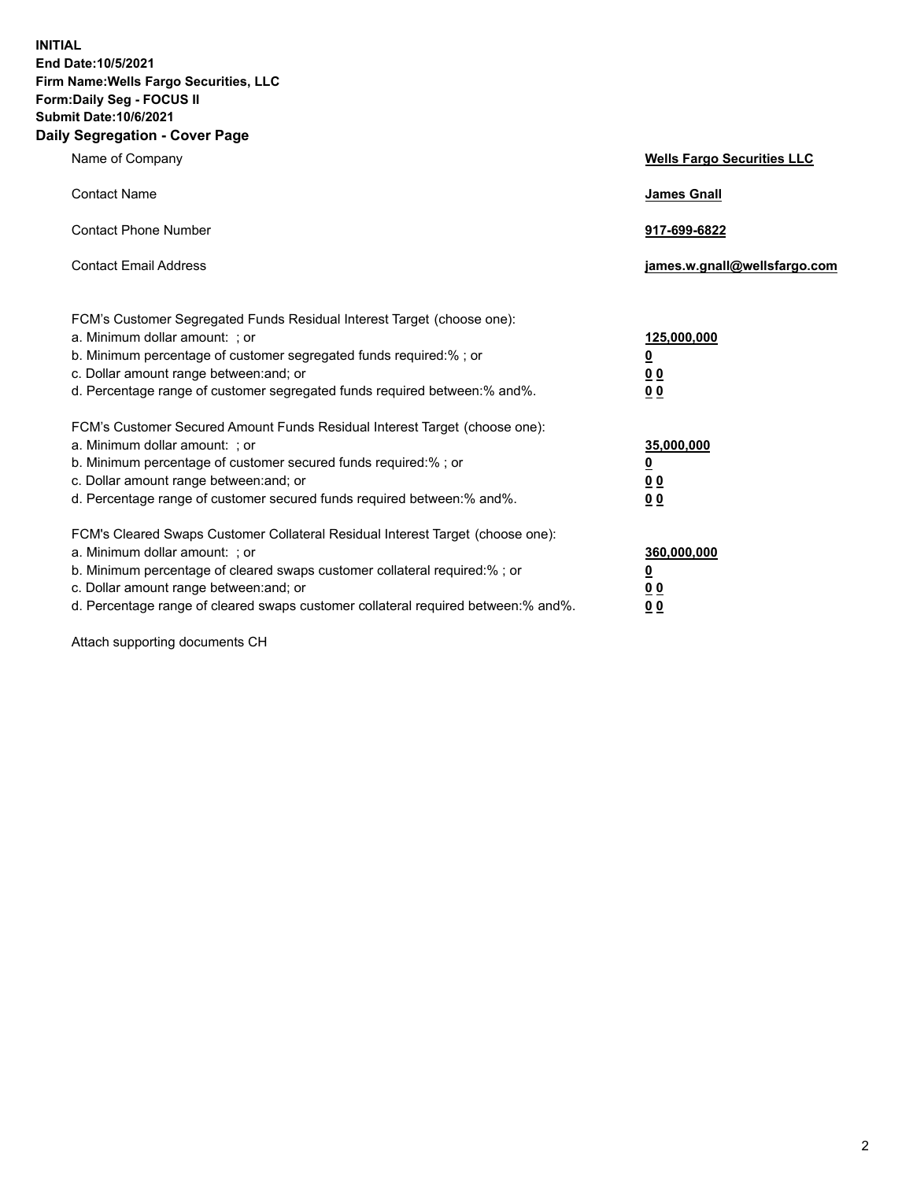**INITIAL End Date:10/5/2021 Firm Name:Wells Fargo Securities, LLC Form:Daily Seg - FOCUS II Submit Date:10/6/2021 Daily Segregation - Cover Page**

| Name of Company                                                                                                                                                                                                                                                                                                               | <b>Wells Fargo Securities LLC</b>                          |
|-------------------------------------------------------------------------------------------------------------------------------------------------------------------------------------------------------------------------------------------------------------------------------------------------------------------------------|------------------------------------------------------------|
| <b>Contact Name</b>                                                                                                                                                                                                                                                                                                           | <b>James Gnall</b>                                         |
| <b>Contact Phone Number</b>                                                                                                                                                                                                                                                                                                   | 917-699-6822                                               |
| <b>Contact Email Address</b>                                                                                                                                                                                                                                                                                                  | james.w.gnall@wellsfargo.com                               |
| FCM's Customer Segregated Funds Residual Interest Target (choose one):<br>a. Minimum dollar amount: ; or<br>b. Minimum percentage of customer segregated funds required:% ; or<br>c. Dollar amount range between: and; or<br>d. Percentage range of customer segregated funds required between:% and%.                        | 125,000,000<br><u>0</u><br>0 <sub>0</sub><br>00            |
| FCM's Customer Secured Amount Funds Residual Interest Target (choose one):<br>a. Minimum dollar amount: ; or<br>b. Minimum percentage of customer secured funds required:%; or<br>c. Dollar amount range between: and; or<br>d. Percentage range of customer secured funds required between: % and %.                         | 35,000,000<br><u>0</u><br>0 <sub>0</sub><br>0 <sub>0</sub> |
| FCM's Cleared Swaps Customer Collateral Residual Interest Target (choose one):<br>a. Minimum dollar amount: ; or<br>b. Minimum percentage of cleared swaps customer collateral required:%; or<br>c. Dollar amount range between: and; or<br>d. Percentage range of cleared swaps customer collateral required between:% and%. | 360,000,000<br><u>0</u><br>00<br>00                        |

Attach supporting documents CH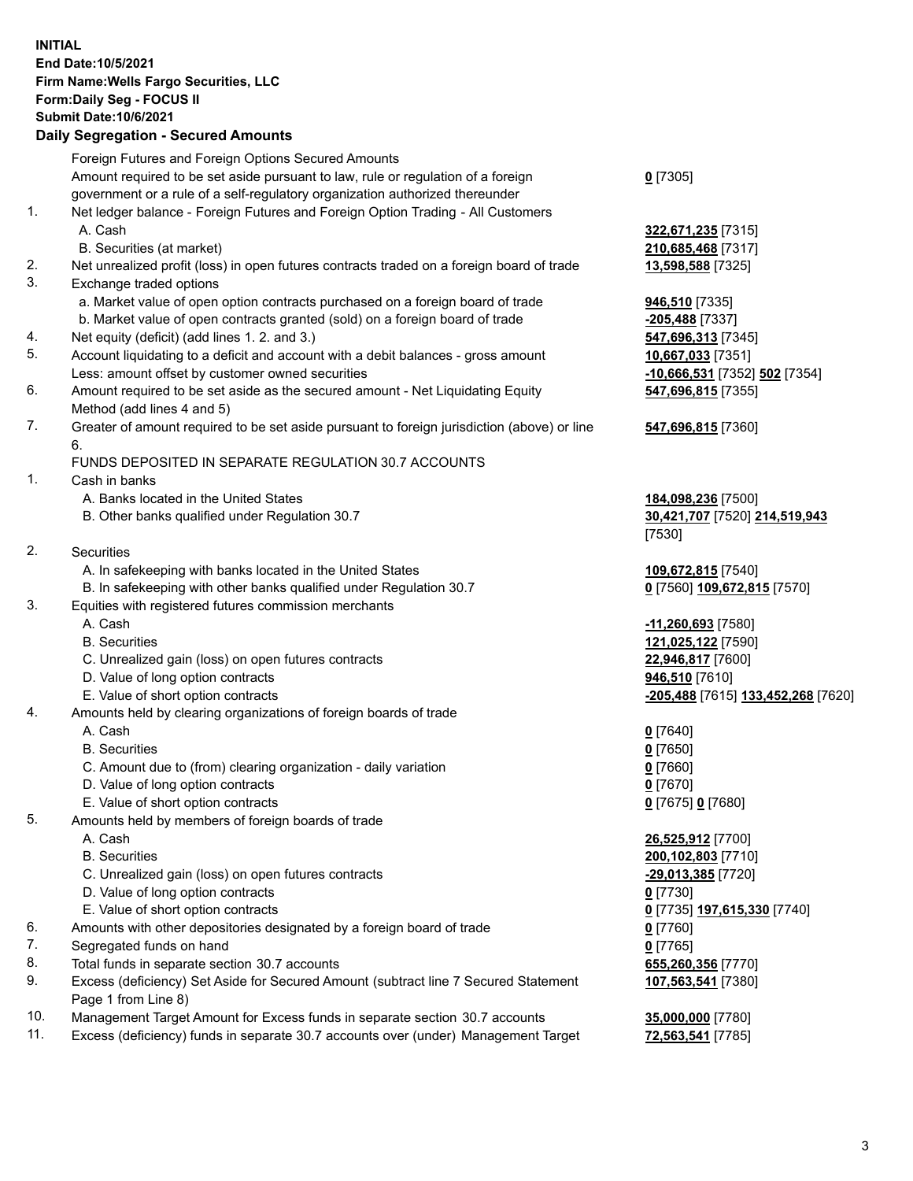**INITIAL End Date:10/5/2021 Firm Name:Wells Fargo Securities, LLC Form:Daily Seg - FOCUS II Submit Date:10/6/2021**

## **Daily Segregation - Secured Amounts**

|    | Foreign Futures and Foreign Options Secured Amounts                                         |                                    |
|----|---------------------------------------------------------------------------------------------|------------------------------------|
|    | Amount required to be set aside pursuant to law, rule or regulation of a foreign            | $0$ [7305]                         |
|    | government or a rule of a self-regulatory organization authorized thereunder                |                                    |
| 1. | Net ledger balance - Foreign Futures and Foreign Option Trading - All Customers             |                                    |
|    | A. Cash                                                                                     | 322,671,235 [7315]                 |
|    | B. Securities (at market)                                                                   | 210,685,468 [7317]                 |
| 2. | Net unrealized profit (loss) in open futures contracts traded on a foreign board of trade   | 13,598,588 [7325]                  |
| 3. | Exchange traded options                                                                     |                                    |
|    | a. Market value of open option contracts purchased on a foreign board of trade              | 946,510 [7335]                     |
|    | b. Market value of open contracts granted (sold) on a foreign board of trade                | -205,488 [7337]                    |
| 4. | Net equity (deficit) (add lines 1. 2. and 3.)                                               | 547,696,313 [7345]                 |
| 5. | Account liquidating to a deficit and account with a debit balances - gross amount           | 10,667,033 [7351]                  |
|    | Less: amount offset by customer owned securities                                            | -10,666,531 [7352] 502 [7354]      |
| 6. | Amount required to be set aside as the secured amount - Net Liquidating Equity              | 547,696,815 [7355]                 |
|    | Method (add lines 4 and 5)                                                                  |                                    |
| 7. | Greater of amount required to be set aside pursuant to foreign jurisdiction (above) or line | 547,696,815 [7360]                 |
|    | 6.                                                                                          |                                    |
|    | FUNDS DEPOSITED IN SEPARATE REGULATION 30.7 ACCOUNTS                                        |                                    |
| 1. | Cash in banks                                                                               |                                    |
|    | A. Banks located in the United States                                                       | 184,098,236 [7500]                 |
|    | B. Other banks qualified under Regulation 30.7                                              | 30,421,707 [7520] 214,519,943      |
|    |                                                                                             | [7530]                             |
| 2. | Securities                                                                                  |                                    |
|    | A. In safekeeping with banks located in the United States                                   | 109,672,815 [7540]                 |
|    | B. In safekeeping with other banks qualified under Regulation 30.7                          | 0 [7560] 109,672,815 [7570]        |
| 3. | Equities with registered futures commission merchants                                       |                                    |
|    | A. Cash                                                                                     | -11,260,693 [7580]                 |
|    | <b>B.</b> Securities                                                                        | 121,025,122 [7590]                 |
|    | C. Unrealized gain (loss) on open futures contracts                                         | 22,946,817 [7600]                  |
|    | D. Value of long option contracts                                                           | 946,510 [7610]                     |
|    | E. Value of short option contracts                                                          | -205,488 [7615] 133,452,268 [7620] |
| 4. | Amounts held by clearing organizations of foreign boards of trade                           |                                    |
|    | A. Cash                                                                                     | $0$ [7640]                         |
|    | <b>B.</b> Securities                                                                        | $0$ [7650]                         |
|    | C. Amount due to (from) clearing organization - daily variation                             | $0$ [7660]                         |
|    | D. Value of long option contracts                                                           | $0$ [7670]                         |
|    | E. Value of short option contracts                                                          | 0 [7675] 0 [7680]                  |
| 5. | Amounts held by members of foreign boards of trade                                          |                                    |
|    | A. Cash                                                                                     | 26,525,912 [7700]                  |
|    | <b>B.</b> Securities                                                                        | 200,102,803 [7710]                 |
|    | C. Unrealized gain (loss) on open futures contracts                                         | $-29,013,385$ [7720]               |
|    | D. Value of long option contracts                                                           | $0$ [7730]                         |
|    | E. Value of short option contracts                                                          | 0 [7735] 197,615,330 [7740]        |
| 6. | Amounts with other depositories designated by a foreign board of trade                      | $0$ [7760]                         |
| 7. | Segregated funds on hand                                                                    | $0$ [7765]                         |
| 8. | Total funds in separate section 30.7 accounts                                               | 655,260,356 [7770]                 |
| 9. | Excess (deficiency) Set Aside for Secured Amount (subtract line 7 Secured Statement         | 107,563,541 [7380]                 |
|    | Page 1 from Line 8)                                                                         |                                    |

- 10. Management Target Amount for Excess funds in separate section 30.7 accounts **35,000,000** [7780]
- 11. Excess (deficiency) funds in separate 30.7 accounts over (under) Management Target **72,563,541** [7785]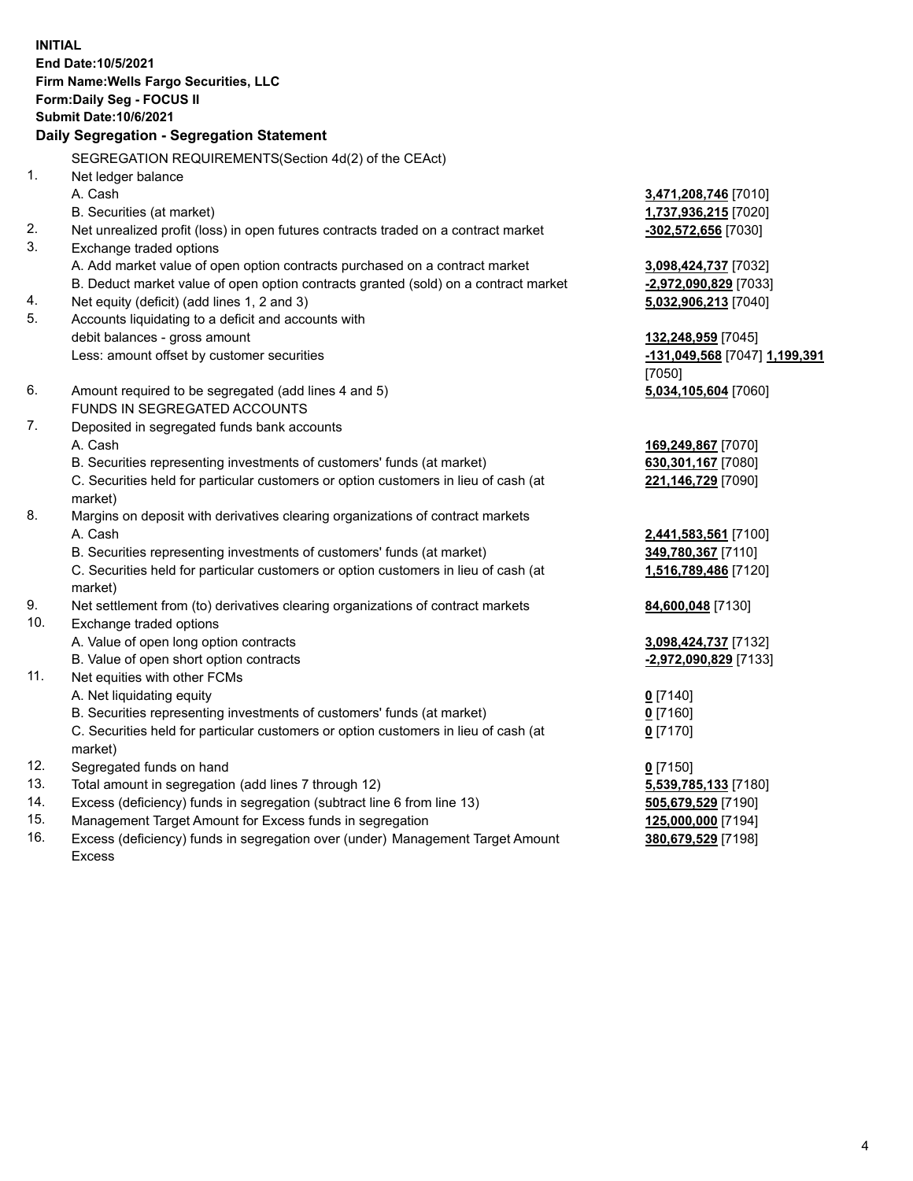**INITIAL End Date:10/5/2021 Firm Name:Wells Fargo Securities, LLC Form:Daily Seg - FOCUS II Submit Date:10/6/2021**

## **Daily Segregation - Segregation Statement**

SEGREGATION REQUIREMENTS(Section 4d(2) of the CEAct)

|     | SEGREGATION REQUIREMENTS(Section 40(2) OF the CEACH                                 |                               |
|-----|-------------------------------------------------------------------------------------|-------------------------------|
| 1.  | Net ledger balance                                                                  |                               |
|     | A. Cash                                                                             | 3,471,208,746 [7010]          |
|     | B. Securities (at market)                                                           | 1,737,936,215 [7020]          |
| 2.  | Net unrealized profit (loss) in open futures contracts traded on a contract market  | $-302,572,656$ [7030]         |
| 3.  | Exchange traded options                                                             |                               |
|     | A. Add market value of open option contracts purchased on a contract market         | 3,098,424,737 [7032]          |
|     | B. Deduct market value of open option contracts granted (sold) on a contract market | -2,972,090,829 [7033]         |
| 4.  | Net equity (deficit) (add lines 1, 2 and 3)                                         | 5,032,906,213 [7040]          |
| 5.  | Accounts liquidating to a deficit and accounts with                                 |                               |
|     | debit balances - gross amount                                                       | 132,248,959 [7045]            |
|     | Less: amount offset by customer securities                                          | -131,049,568 [7047] 1,199,391 |
|     |                                                                                     | [7050]                        |
| 6.  | Amount required to be segregated (add lines 4 and 5)                                | 5,034,105,604 [7060]          |
|     | FUNDS IN SEGREGATED ACCOUNTS                                                        |                               |
| 7.  | Deposited in segregated funds bank accounts                                         |                               |
|     | A. Cash                                                                             | 169,249,867 [7070]            |
|     | B. Securities representing investments of customers' funds (at market)              | 630,301,167 [7080]            |
|     | C. Securities held for particular customers or option customers in lieu of cash (at | 221,146,729 [7090]            |
|     | market)                                                                             |                               |
| 8.  | Margins on deposit with derivatives clearing organizations of contract markets      |                               |
|     | A. Cash                                                                             | 2,441,583,561 [7100]          |
|     | B. Securities representing investments of customers' funds (at market)              | 349,780,367 [7110]            |
|     | C. Securities held for particular customers or option customers in lieu of cash (at | 1,516,789,486 [7120]          |
|     | market)                                                                             |                               |
| 9.  | Net settlement from (to) derivatives clearing organizations of contract markets     | 84,600,048 [7130]             |
| 10. | Exchange traded options                                                             |                               |
|     | A. Value of open long option contracts                                              | 3,098,424,737 [7132]          |
|     | B. Value of open short option contracts                                             | -2,972,090,829 [7133]         |
| 11. | Net equities with other FCMs                                                        |                               |
|     | A. Net liquidating equity                                                           | $0$ [7140]                    |
|     | B. Securities representing investments of customers' funds (at market)              | $0$ [7160]                    |
|     | C. Securities held for particular customers or option customers in lieu of cash (at | $0$ [7170]                    |
|     | market)                                                                             |                               |
| 12. | Segregated funds on hand                                                            | $0$ [7150]                    |
| 13. | Total amount in segregation (add lines 7 through 12)                                | 5,539,785,133 [7180]          |
| 14. | Excess (deficiency) funds in segregation (subtract line 6 from line 13)             | 505,679,529 [7190]            |
| 15. | Management Target Amount for Excess funds in segregation                            | 125,000,000 [7194]            |
| 16. | Excess (deficiency) funds in segregation over (under) Management Target Amount      | 380,679,529 [7198]            |
|     | Excess                                                                              |                               |